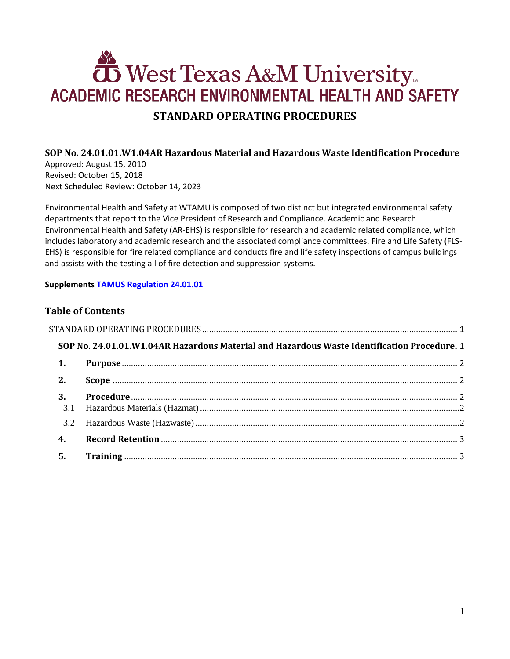# **OS** West Texas A&M University **ACADEMIC RESEARCH ENVIRONMENTAL HEALTH AND SAFETY STANDARD OPERATING PROCEDURES**

### <span id="page-0-1"></span><span id="page-0-0"></span>**SOP No. 24.01.01.W1.04AR Hazardous Material and Hazardous Waste Identification Procedure**

Approved: August 15, 2010 Revised: October 15, 2018 Next Scheduled Review: October 14, 2023

Environmental Health and Safety at WTAMU is composed of two distinct but integrated environmental safety departments that report to the Vice President of Research and Compliance. Academic and Research Environmental Health and Safety (AR-EHS) is responsible for research and academic related compliance, which includes laboratory and academic research and the associated compliance committees. Fire and Life Safety (FLS-EHS) is responsible for fire related compliance and conducts fire and life safety inspections of campus buildings and assists with the testing all of fire detection and suppression systems.

#### **Supplements [TAMUS Regulation 24.01.01](http://policies.tamus.edu/24-01-01.pdf)**

### **Table of Contents**

| SOP No. 24.01.01.W1.04AR Hazardous Material and Hazardous Waste Identification Procedure. 1 |  |  |
|---------------------------------------------------------------------------------------------|--|--|
| 1.                                                                                          |  |  |
| 2.                                                                                          |  |  |
| 3.                                                                                          |  |  |
| 3.2                                                                                         |  |  |
| 4.                                                                                          |  |  |
| 5.                                                                                          |  |  |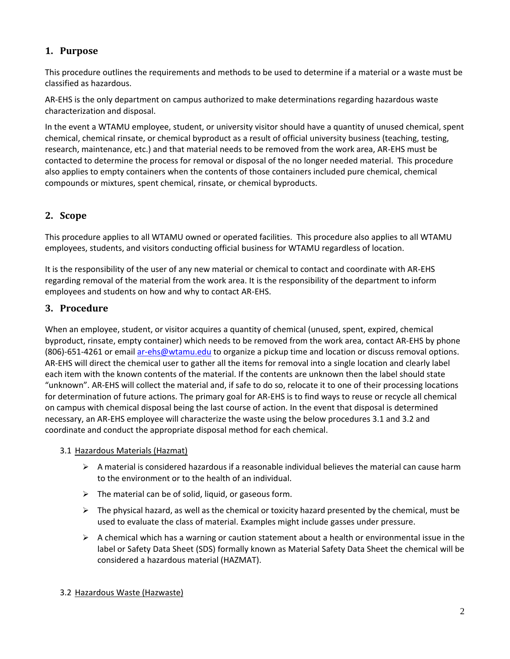# <span id="page-1-0"></span>**1. Purpose**

This procedure outlines the requirements and methods to be used to determine if a material or a waste must be classified as hazardous.

AR-EHS is the only department on campus authorized to make determinations regarding hazardous waste characterization and disposal.

In the event a WTAMU employee, student, or university visitor should have a quantity of unused chemical, spent chemical, chemical rinsate, or chemical byproduct as a result of official university business (teaching, testing, research, maintenance, etc.) and that material needs to be removed from the work area, AR-EHS must be contacted to determine the process for removal or disposal of the no longer needed material. This procedure also applies to empty containers when the contents of those containers included pure chemical, chemical compounds or mixtures, spent chemical, rinsate, or chemical byproducts.

## <span id="page-1-1"></span>**2. Scope**

This procedure applies to all WTAMU owned or operated facilities. This procedure also applies to all WTAMU employees, students, and visitors conducting official business for WTAMU regardless of location.

It is the responsibility of the user of any new material or chemical to contact and coordinate with AR-EHS regarding removal of the material from the work area. It is the responsibility of the department to inform employees and students on how and why to contact AR-EHS.

## <span id="page-1-2"></span>**3. Procedure**

When an employee, student, or visitor acquires a quantity of chemical (unused, spent, expired, chemical byproduct, rinsate, empty container) which needs to be removed from the work area, contact AR-EHS by phone (806)-651-4261 or email [ar-ehs@wtamu.edu](mailto:ar-ehs@wtamu.edu) to organize a pickup time and location or discuss removal options. AR-EHS will direct the chemical user to gather all the items for removal into a single location and clearly label each item with the known contents of the material. If the contents are unknown then the label should state "unknown". AR-EHS will collect the material and, if safe to do so, relocate it to one of their processing locations for determination of future actions. The primary goal for AR-EHS is to find ways to reuse or recycle all chemical on campus with chemical disposal being the last course of action. In the event that disposal is determined necessary, an AR-EHS employee will characterize the waste using the below procedures 3.1 and 3.2 and coordinate and conduct the appropriate disposal method for each chemical.

#### <span id="page-1-3"></span>3.1 Hazardous Materials (Hazmat)

- $\triangleright$  A material is considered hazardous if a reasonable individual believes the material can cause harm to the environment or to the health of an individual.
- $\triangleright$  The material can be of solid, liquid, or gaseous form.
- $\triangleright$  The physical hazard, as well as the chemical or toxicity hazard presented by the chemical, must be used to evaluate the class of material. Examples might include gasses under pressure.
- <span id="page-1-4"></span> $\triangleright$  A chemical which has a warning or caution statement about a health or environmental issue in the label or Safety Data Sheet (SDS) formally known as Material Safety Data Sheet the chemical will be considered a hazardous material (HAZMAT).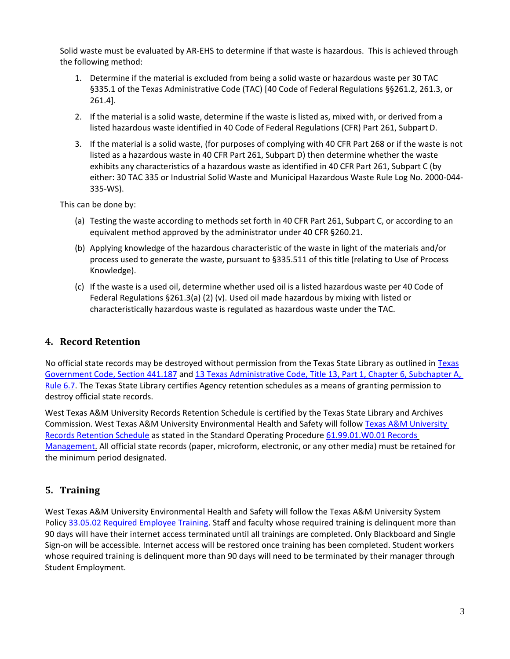Solid waste must be evaluated by AR-EHS to determine if that waste is hazardous. This is achieved through the following method:

- 1. Determine if the material is excluded from being a solid waste or hazardous waste per 30 TAC §335.1 of the Texas Administrative Code (TAC) [40 Code of Federal Regulations §§261.2, 261.3, or 261.4].
- 2. If the material is a solid waste, determine if the waste is listed as, mixed with, or derived from a listed hazardous waste identified in 40 Code of Federal Regulations (CFR) Part 261, Subpart D.
- 3. If the material is a solid waste, (for purposes of complying with 40 CFR Part 268 or if the waste is not listed as a hazardous waste in 40 CFR Part 261, Subpart D) then determine whether the waste exhibits any characteristics of a hazardous waste as identified in 40 CFR Part 261, Subpart C (by either: 30 TAC 335 or Industrial Solid Waste and Municipal Hazardous Waste Rule Log No. 2000-044- 335-WS).

This can be done by:

- (a) Testing the waste according to methods set forth in 40 CFR Part 261, Subpart C, or according to an equivalent method approved by the administrator under 40 CFR §260.21.
- (b) Applying knowledge of the hazardous characteristic of the waste in light of the materials and/or process used to generate the waste, pursuant to §335.511 of this title (relating to Use of Process Knowledge).
- (c) If the waste is a used oil, determine whether used oil is a listed hazardous waste per 40 Code of Federal Regulations §261.3(a) (2) (v). Used oil made hazardous by mixing with listed or characteristically hazardous waste is regulated as hazardous waste under the TAC.

#### <span id="page-2-0"></span>**4. Record Retention**

No official state records may be destroyed without permission from the Texas State Library as outlined in [Texas](http://www.statutes.legis.state.tx.us/?link=GV) [Government Code, Section 441.187](http://www.statutes.legis.state.tx.us/?link=GV) an[d 13 Texas Administrative Code, Title 13, Part 1, Chapter 6, Subchapter A,](http://txrules.elaws.us/rule/title13_chapter6_sec.6.7) [Rule 6.7.](http://txrules.elaws.us/rule/title13_chapter6_sec.6.7) The Texas State Library certifies Agency retention schedules as a means of granting permission to destroy official state records.

West Texas A&M University Records Retention Schedule is certified by the Texas State Library and Archives Commission. West Texas A&M University Environmental Health and Safety will follow [Texas A&M](https://www.wtamu.edu/webres/File/Risk%20Management/System-Records-Retention-Schedule.pdf) University [Records Retention Schedule](https://www.wtamu.edu/webres/File/Risk%20Management/System-Records-Retention-Schedule.pdf) as stated in the Standard Operating Procedure [61.99.01.W0.01 Records](http://www.wtamu.edu/webres/File/Risk%20Management/61.99.01.W0.01_PROCEDURE_Records%20Management_FINAL%20SIGNED.pdf) [Management.](http://www.wtamu.edu/webres/File/Risk%20Management/61.99.01.W0.01_PROCEDURE_Records%20Management_FINAL%20SIGNED.pdf) All official state records (paper, microform, electronic, or any other media) must be retained for the minimum period designated.

## <span id="page-2-1"></span>**5. Training**

West Texas A&M University Environmental Health and Safety will follow the Texas A&M University System Polic[y 33.05.02 Required Employee Training.](http://policies.tamus.edu/33-05-02.pdf) Staff and faculty whose required training is delinquent more than 90 days will have their internet access terminated until all trainings are completed. Only Blackboard and Single Sign-on will be accessible. Internet access will be restored once training has been completed. Student workers whose required training is delinquent more than 90 days will need to be terminated by their manager through Student Employment.